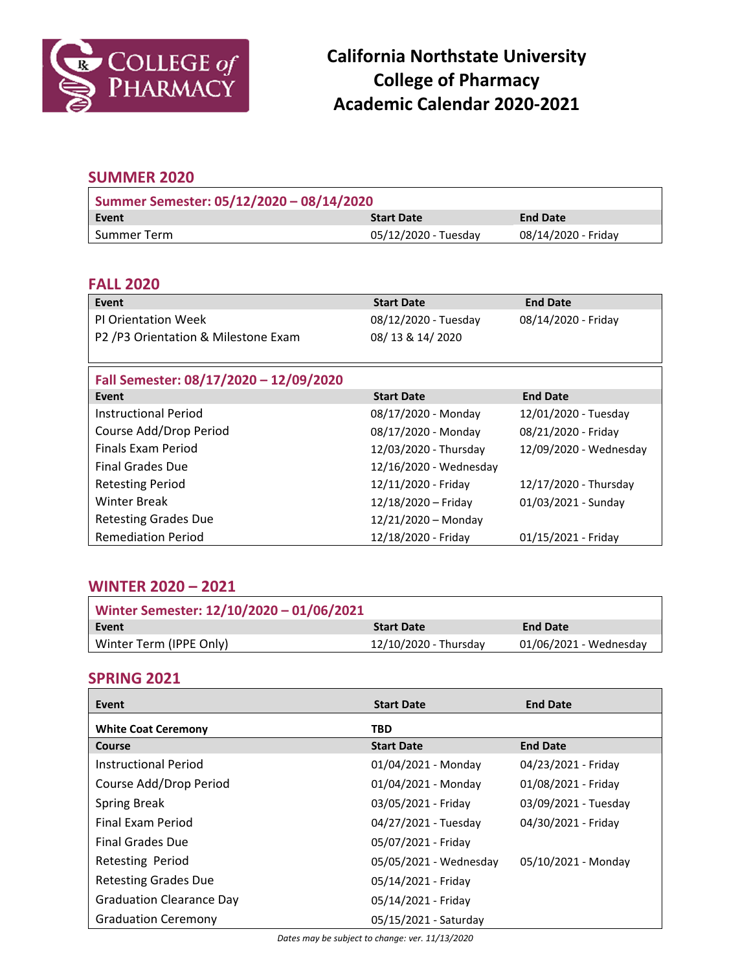

### **SUMMER 2020**

| Summer Semester: 05/12/2020 - 08/14/2020 |                      |                     |  |
|------------------------------------------|----------------------|---------------------|--|
| Event                                    | <b>Start Date</b>    | <b>End Date</b>     |  |
| Summer Term                              | 05/12/2020 - Tuesday | 08/14/2020 - Friday |  |

#### **FALL 2020**

| Event                                  | <b>Start Date</b>      | <b>End Date</b>        |
|----------------------------------------|------------------------|------------------------|
| <b>PI Orientation Week</b>             | 08/12/2020 - Tuesday   | 08/14/2020 - Friday    |
| P2 /P3 Orientation & Milestone Exam    | 08/13 & 14/2020        |                        |
|                                        |                        |                        |
| Fall Semester: 08/17/2020 - 12/09/2020 |                        |                        |
| Event                                  | <b>Start Date</b>      | <b>End Date</b>        |
| <b>Instructional Period</b>            | 08/17/2020 - Monday    | 12/01/2020 - Tuesday   |
| Course Add/Drop Period                 | 08/17/2020 - Monday    | 08/21/2020 - Friday    |
| Finals Exam Period                     | 12/03/2020 - Thursday  | 12/09/2020 - Wednesday |
| <b>Final Grades Due</b>                | 12/16/2020 - Wednesday |                        |
| <b>Retesting Period</b>                | 12/11/2020 - Friday    | 12/17/2020 - Thursday  |
| <b>Winter Break</b>                    | 12/18/2020 - Friday    | 01/03/2021 - Sunday    |
| <b>Retesting Grades Due</b>            | $12/21/2020$ – Monday  |                        |

### **WINTER 2020 – 2021**

| Winter Semester: 12/10/2020 - 01/06/2021 |                       |                        |
|------------------------------------------|-----------------------|------------------------|
| l Event                                  | <b>Start Date</b>     | <b>End Date</b>        |
| Winter Term (IPPE Only)                  | 12/10/2020 - Thursday | 01/06/2021 - Wednesday |

Remediation Period 12/18/2020 - Friday 01/15/2021 - Friday

### **SPRING 2021**

| Event                           | <b>Start Date</b>      | <b>End Date</b>      |
|---------------------------------|------------------------|----------------------|
| <b>White Coat Ceremony</b>      | TBD.                   |                      |
| Course                          | <b>Start Date</b>      | <b>End Date</b>      |
| Instructional Period            | 01/04/2021 - Monday    | 04/23/2021 - Friday  |
| Course Add/Drop Period          | 01/04/2021 - Monday    | 01/08/2021 - Friday  |
| <b>Spring Break</b>             | 03/05/2021 - Friday    | 03/09/2021 - Tuesday |
| Final Exam Period               | 04/27/2021 - Tuesday   | 04/30/2021 - Friday  |
| <b>Final Grades Due</b>         | 05/07/2021 - Friday    |                      |
| Retesting Period                | 05/05/2021 - Wednesday | 05/10/2021 - Monday  |
| <b>Retesting Grades Due</b>     | 05/14/2021 - Friday    |                      |
| <b>Graduation Clearance Day</b> | 05/14/2021 - Friday    |                      |
| <b>Graduation Ceremony</b>      | 05/15/2021 - Saturday  |                      |

*Dates may be subject to change: ver. 11/13/2020*